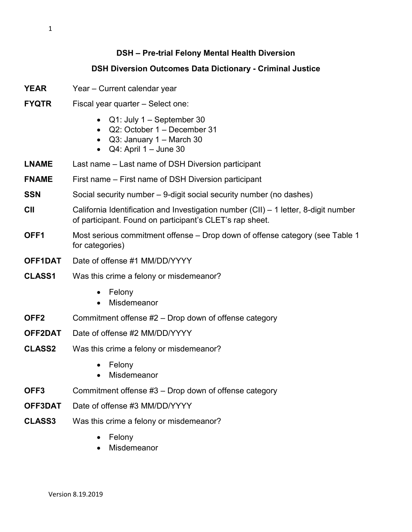## **DSH – Pre-trial Felony Mental Health Diversion**

## **DSH Diversion Outcomes Data Dictionary - Criminal Justice**

- **YEAR** Year Current calendar year
- **FYQTR** Fiscal year quarter Select one:
	- Q1: July 1 September 30
	- Q2: October 1 December 31
	- Q3: January 1 March 30
	- $\bullet$  Q4: April 1 June 30
- **LNAME** Last name Last name of DSH Diversion participant
- **FNAME** First name First name of DSH Diversion participant
- **SSN** Social security number 9-digit social security number (no dashes)
- **CII** California Identification and Investigation number (CII) 1 letter, 8-digit number of participant. Found on participant's CLET's rap sheet.
- **OFF1** Most serious commitment offense Drop down of offense category (see Table 1 for categories)
- **OFF1DAT** Date of offense #1 MM/DD/YYYY
- **CLASS1** Was this crime a felony or misdemeanor?
	- Felony
	- Misdemeanor
- **OFF2** Commitment offense #2 Drop down of offense category
- **OFF2DAT** Date of offense #2 MM/DD/YYYY
- **CLASS2** Was this crime a felony or misdemeanor?
	- Felony
	- Misdemeanor
- **OFF3** Commitment offense #3 Drop down of offense category
- **OFF3DAT** Date of offense #3 MM/DD/YYYY
- **CLASS3** Was this crime a felony or misdemeanor?
	- Felony
	- **Misdemeanor**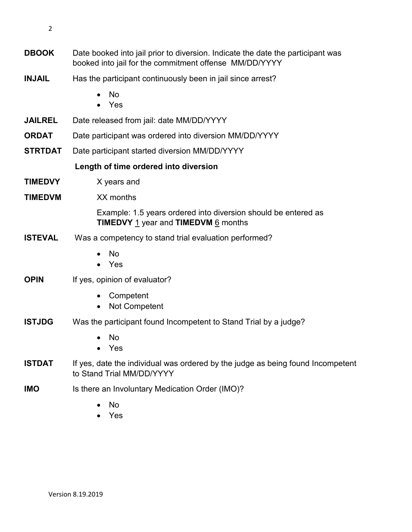- **DBOOK** Date booked into jail prior to diversion. Indicate the date the participant was booked into jail for the commitment offense MM/DD/YYYY **INJAIL** Has the participant continuously been in jail since arrest? • No • Yes **JAILREL** Date released from jail: date MM/DD/YYYY **ORDAT** Date participant was ordered into diversion MM/DD/YYYY **STRTDAT** Date participant started diversion MM/DD/YYYY **Length of time ordered into diversion TIMEDVY** X years and **TIMEDVM** XX months Example: 1.5 years ordered into diversion should be entered as **TIMEDVY** 1 year and **TIMEDVM** 6 months **ISTEVAL** Was a competency to stand trial evaluation performed? • No • Yes **OPIN** If yes, opinion of evaluator? • Competent • Not Competent **ISTJDG** Was the participant found Incompetent to Stand Trial by a judge? • No • Yes **ISTDAT** If yes, date the individual was ordered by the judge as being found Incompetent to Stand Trial MM/DD/YYYY **IMO** Is there an Involuntary Medication Order (IMO)?
	- No
	- Yes